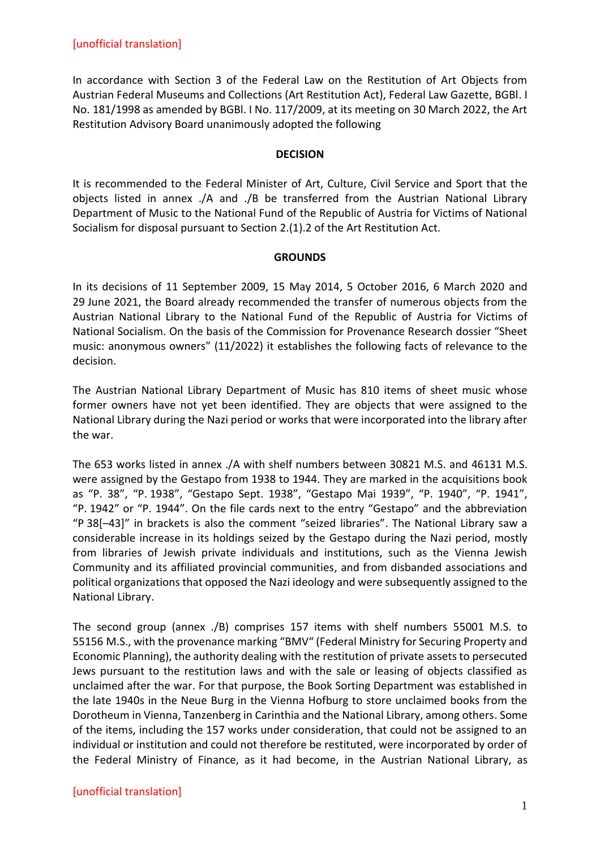In accordance with Section 3 of the Federal Law on the Restitution of Art Objects from Austrian Federal Museums and Collections (Art Restitution Act), Federal Law Gazette, BGBl. I No. 181/1998 as amended by BGBl. I No. 117/2009, at its meeting on 30 March 2022, the Art Restitution Advisory Board unanimously adopted the following

#### **DECISION**

It is recommended to the Federal Minister of Art, Culture, Civil Service and Sport that the objects listed in annex ./A and ./B be transferred from the Austrian National Library Department of Music to the National Fund of the Republic of Austria for Victims of National Socialism for disposal pursuant to Section 2.(1).2 of the Art Restitution Act.

### **GROUNDS**

In its decisions of 11 September 2009, 15 May 2014, 5 October 2016, 6 March 2020 and 29 June 2021, the Board already recommended the transfer of numerous objects from the Austrian National Library to the National Fund of the Republic of Austria for Victims of National Socialism. On the basis of the Commission for Provenance Research dossier "Sheet music: anonymous owners" (11/2022) it establishes the following facts of relevance to the decision.

The Austrian National Library Department of Music has 810 items of sheet music whose former owners have not yet been identified. They are objects that were assigned to the National Library during the Nazi period or works that were incorporated into the library after the war.

The 653 works listed in annex ./A with shelf numbers between 30821 M.S. and 46131 M.S. were assigned by the Gestapo from 1938 to 1944. They are marked in the acquisitions book as "P. 38", "P. 1938", "Gestapo Sept. 1938", "Gestapo Mai 1939", "P. 1940", "P. 1941", "P. 1942" or "P. 1944". On the file cards next to the entry "Gestapo" and the abbreviation "P 38[–43]" in brackets is also the comment "seized libraries". The National Library saw a considerable increase in its holdings seized by the Gestapo during the Nazi period, mostly from libraries of Jewish private individuals and institutions, such as the Vienna Jewish Community and its affiliated provincial communities, and from disbanded associations and political organizations that opposed the Nazi ideology and were subsequently assigned to the National Library.

The second group (annex ./B) comprises 157 items with shelf numbers 55001 M.S. to 55156 M.S., with the provenance marking "BMV" (Federal Ministry for Securing Property and Economic Planning), the authority dealing with the restitution of private assets to persecuted Jews pursuant to the restitution laws and with the sale or leasing of objects classified as unclaimed after the war. For that purpose, the Book Sorting Department was established in the late 1940s in the Neue Burg in the Vienna Hofburg to store unclaimed books from the Dorotheum in Vienna, Tanzenberg in Carinthia and the National Library, among others. Some of the items, including the 157 works under consideration, that could not be assigned to an individual or institution and could not therefore be restituted, were incorporated by order of the Federal Ministry of Finance, as it had become, in the Austrian National Library, as

# [unofficial translation]